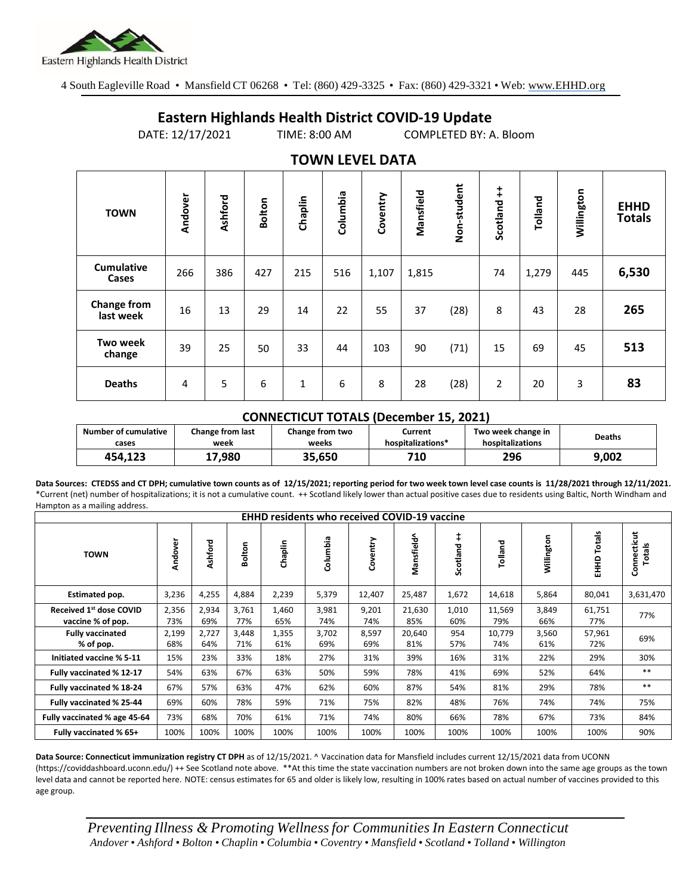

4 South Eagleville Road • Mansfield CT 06268 • Tel: (860) 429-3325 • Fax: (860) 429-3321 • Web: www.EHHD.org

## **Eastern Highlands Health District COVID-19 Update**

DATE: 12/17/2021 TIME: 8:00 AM COMPLETED BY: A. Bloom

| $19.111$ LL $9.11$ Dair    |         |         |        |         |          |          |           |             |                |         |            |                              |
|----------------------------|---------|---------|--------|---------|----------|----------|-----------|-------------|----------------|---------|------------|------------------------------|
| <b>TOWN</b>                | Andover | Ashford | Bolton | Chaplin | Columbia | Coventry | Mansfield | Non-student | Scotland ++    | Tolland | Willington | <b>EHHD</b><br><b>Totals</b> |
| <b>Cumulative</b><br>Cases | 266     | 386     | 427    | 215     | 516      | 1,107    | 1,815     |             | 74             | 1,279   | 445        | 6,530                        |
| Change from<br>last week   | 16      | 13      | 29     | 14      | 22       | 55       | 37        | (28)        | 8              | 43      | 28         | 265                          |
| Two week<br>change         | 39      | 25      | 50     | 33      | 44       | 103      | 90        | (71)        | 15             | 69      | 45         | 513                          |
| <b>Deaths</b>              | 4       | 5       | 6      | 1       | 6        | 8        | 28        | (28)        | $\overline{2}$ | 20      | 3          | 83                           |

## **TOWN LEVEL DATA**

## **CONNECTICUT TOTALS (December 15, 2021)**

| <b>Number of cumulative</b> | <b>Change from last</b> | <b>Change from two</b> | Current           | Two week change in | Deaths |
|-----------------------------|-------------------------|------------------------|-------------------|--------------------|--------|
| cases                       | week                    | weeks                  | hospitalizations* | hospitalizations   |        |
| 454.123                     | ,980                    | 35.650                 | 710               | 296                | 9.002  |

**Data Sources: CTEDSS and CT DPH; cumulative town counts as of 12/15/2021; reporting period for two week town level case counts is 11/28/2021 through 12/11/2021.** \*Current (net) number of hospitalizations; it is not a cumulative count. ++ Scotland likely lower than actual positive cases due to residents using Baltic, North Windham and Hampton as a mailing address.

| <b>EHHD residents who received COVID-19 vaccine</b> |              |              |              |              |              |              |               |                        |               |              |                  |                       |
|-----------------------------------------------------|--------------|--------------|--------------|--------------|--------------|--------------|---------------|------------------------|---------------|--------------|------------------|-----------------------|
| <b>TOWN</b>                                         | Andover      | Ashford      | Bolton       | Chaplin      | Columbia     | Coventry     | Mansfield^    | $\ddagger$<br>Scotland | Tolland       | Willington   | Totals<br>오<br>도 | Connecticut<br>Totals |
| <b>Estimated pop.</b>                               | 3,236        | 4,255        | 4,884        | 2,239        | 5,379        | 12,407       | 25,487        | 1,672                  | 14,618        | 5,864        | 80,041           | 3,631,470             |
| Received 1st dose COVID<br>vaccine % of pop.        | 2,356<br>73% | 2,934<br>69% | 3,761<br>77% | 1,460<br>65% | 3,981<br>74% | 9,201<br>74% | 21,630<br>85% | 1,010<br>60%           | 11,569<br>79% | 3,849<br>66% | 61,751<br>77%    | 77%                   |
| <b>Fully vaccinated</b><br>% of pop.                | 2,199<br>68% | 2,727<br>64% | 3,448<br>71% | 1,355<br>61% | 3,702<br>69% | 8,597<br>69% | 20,640<br>81% | 954<br>57%             | 10,779<br>74% | 3,560<br>61% | 57,961<br>72%    | 69%                   |
| Initiated vaccine % 5-11                            | 15%          | 23%          | 33%          | 18%          | 27%          | 31%          | 39%           | 16%                    | 31%           | 22%          | 29%              | 30%                   |
| Fully vaccinated % 12-17                            | 54%          | 63%          | 67%          | 63%          | 50%          | 59%          | 78%           | 41%                    | 69%           | 52%          | 64%              | $***$                 |
| Fully vaccinated % 18-24                            | 67%          | 57%          | 63%          | 47%          | 62%          | 60%          | 87%           | 54%                    | 81%           | 29%          | 78%              | $***$                 |
| Fully vaccinated % 25-44                            | 69%          | 60%          | 78%          | 59%          | 71%          | 75%          | 82%           | 48%                    | 76%           | 74%          | 74%              | 75%                   |
| Fully vaccinated % age 45-64                        | 73%          | 68%          | 70%          | 61%          | 71%          | 74%          | 80%           | 66%                    | 78%           | 67%          | 73%              | 84%                   |
| Fully vaccinated % 65+                              | 100%         | 100%         | 100%         | 100%         | 100%         | 100%         | 100%          | 100%                   | 100%          | 100%         | 100%             | 90%                   |

**Data Source: Connecticut immunization registry CT DPH** as of 12/15/2021. ^ Vaccination data for Mansfield includes current 12/15/2021 data from UCONN (https://coviddashboard.uconn.edu/) ++ See Scotland note above. \*\*At this time the state vaccination numbers are not broken down into the same age groups as the town level data and cannot be reported here. NOTE: census estimates for 65 and older is likely low, resulting in 100% rates based on actual number of vaccines provided to this age group.

*Preventing Illness & Promoting Wellnessfor Communities In Eastern Connecticut* Andover • Ashford • Bolton • Chaplin • Columbia • Coventry • Mansfield • Scotland • Tolland • Willington